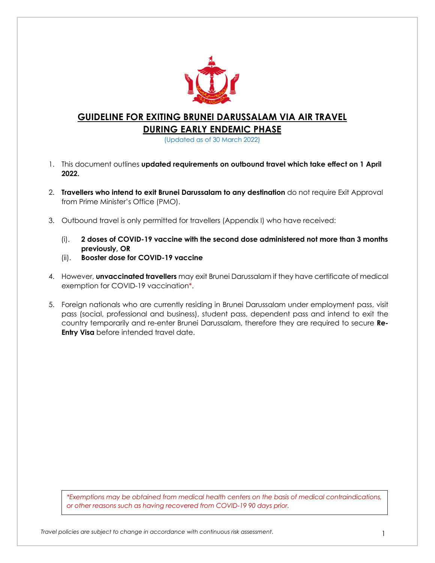

# **GUIDELINE FOR EXITING BRUNEI DARUSSALAM VIA AIR TRAVEL**

**DURING EARLY ENDEMIC PHASE**

(Updated as of 30 March 2022)

- 1. This document outlines **updated requirements on outbound travel which take effect on 1 April 2022.**
- 2. **Travellers who intend to exit Brunei Darussalam to any destination** do not require Exit Approval from Prime Minister's Office (PMO).
- 3. Outbound travel is only permitted for travellers (Appendix I) who have received:
	- (i). **2 doses of COVID-19 vaccine with the second dose administered not more than 3 months previously, OR**
	- (ii). **Booster dose for COVID-19 vaccine**
- 4. However, **unvaccinated travellers** may exit Brunei Darussalam if they have certificate of medical exemption for COVID-19 vaccination\*.
- 5. Foreign nationals who are currently residing in Brunei Darussalam under employment pass, visit pass (social, professional and business), student pass, dependent pass and intend to exit the country temporarily and re-enter Brunei Darussalam, therefore they are required to secure **Re-Entry Visa** before intended travel date.

*\*Exemptions may be obtained from medical health centers on the basis of medical contraindications, or other reasons such as having recovered from COVID-19 90 days prior.*

1 *Travel policies are subject to change in accordance with continuous risk assessment*.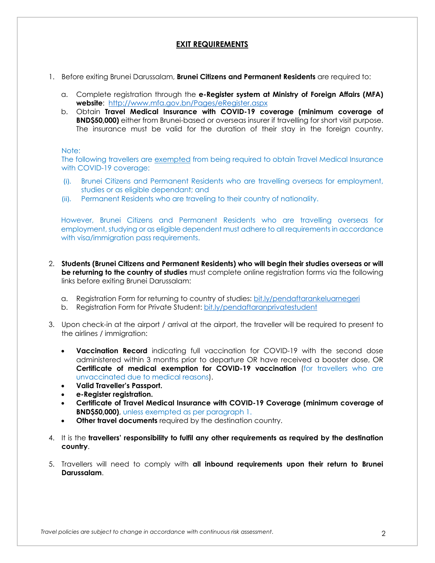### **EXIT REQUIREMENTS**

- 1. Before exiting Brunei Darussalam, **Brunei Citizens and Permanent Residents** are required to:
	- a. Complete registration through the **e-Register system at Ministry of Foreign Affairs (MFA) website**: http://www.mfa.gov.bn/Pages/eRegister.aspx
	- b. Obtain **Travel Medical Insurance with COVID-19 coverage (minimum coverage of BND\$50,000)** either from Brunei-based or overseas insurer if travelling for short visit purpose. The insurance must be valid for the duration of their stay in the foreign country.

#### Note:

The following travellers are exempted from being required to obtain Travel Medical Insurance with COVID-19 coverage:

- (i). Brunei Citizens and Permanent Residents who are travelling overseas for employment, studies or as eligible dependant; and
- (ii). Permanent Residents who are traveling to their country of nationality.

However, Brunei Citizens and Permanent Residents who are travelling overseas for employment, studying or as eligible dependent must adhere to all requirements in accordance with visa/immigration pass requirements.

- 2. **Students (Brunei Citizens and Permanent Residents) who will begin their studies overseas or will be returning to the country of studies** must complete online registration forms via the following links before exiting Brunei Darussalam:
	- a. Registration Form for returning to country of studies: bit.ly/pendaftarankeluarnegeri
	- b. Registration Form for Private Student: bit.ly/pendaftaranprivatestudent
- 3. Upon check-in at the airport / arrival at the airport, the traveller will be required to present to the airlines / immigration:
	- **Vaccination Record** indicating full vaccination for COVID-19 with the second dose administered within 3 months prior to departure OR have received a booster dose, OR **Certificate of medical exemption for COVID-19 vaccination** (for travellers who are unvaccinated due to medical reasons).
	- **Valid Traveller's Passport.**
	- **e-Register registration.**
	- **Certificate of Travel Medical Insurance with COVID-19 Coverage (minimum coverage of BND\$50,000)**, unless exempted as per paragraph 1.
	- **Other travel documents** required by the destination country.
- 4. It is the **travellers' responsibility to fulfil any other requirements as required by the destination country**.
- 5. Travellers will need to comply with **all inbound requirements upon their return to Brunei Darussalam**.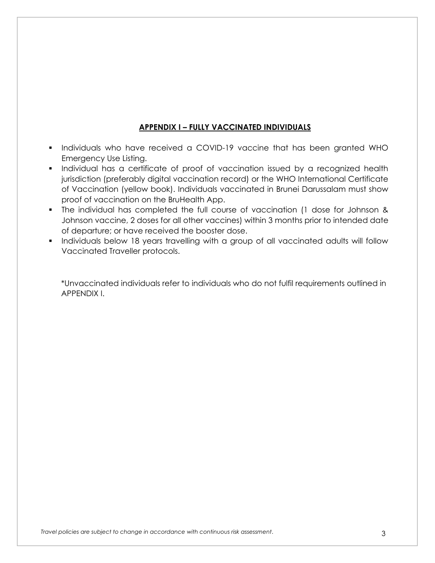## **APPENDIX I – FULLY VACCINATED INDIVIDUALS**

- § Individuals who have received a COVID-19 vaccine that has been granted WHO Emergency Use Listing.
- Individual has a certificate of proof of vaccination issued by a recognized health jurisdiction (preferably digital vaccination record) or the WHO International Certificate of Vaccination (yellow book). Individuals vaccinated in Brunei Darussalam must show proof of vaccination on the BruHealth App.
- § The individual has completed the full course of vaccination (1 dose for Johnson & Johnson vaccine, 2 doses for all other vaccines) within 3 months prior to intended date of departure; or have received the booster dose.
- Individuals below 18 years travelling with a group of all vaccinated adults will follow Vaccinated Traveller protocols.

\*Unvaccinated individuals refer to individuals who do not fulfil requirements outlined in APPENDIX I.

3 *Travel policies are subject to change in accordance with continuous risk assessment*.